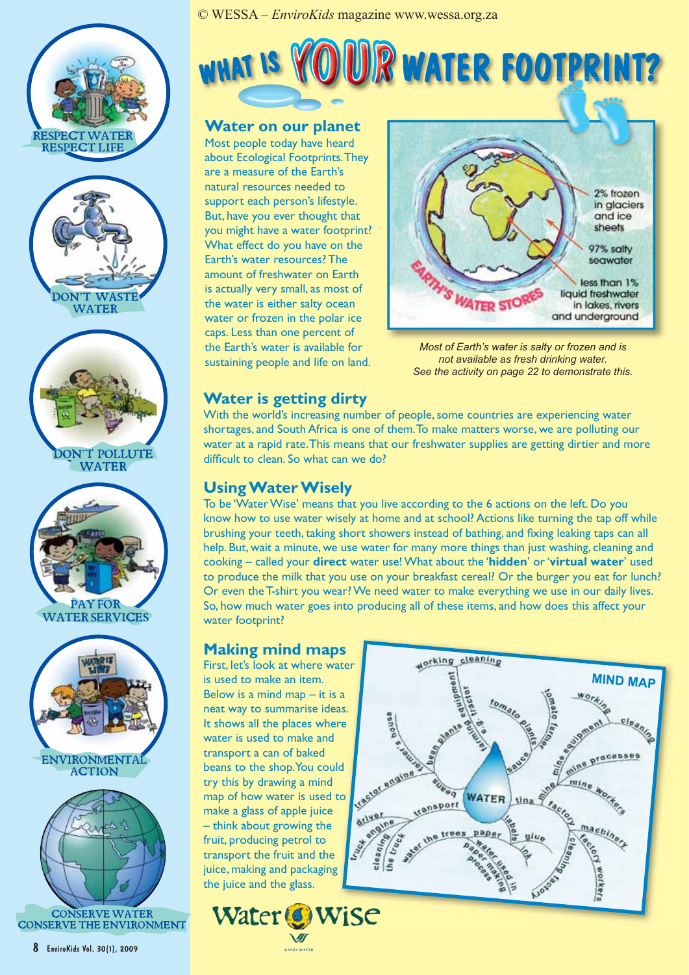











# WHAT IS YOUR WATER FOOTPRINT?

#### **Water on our planet**

Most people today have heard about Ecological Footprints. They are a measure of the Earth's natural resources needed to support each person's lifestyle. But, have you ever thought that you might have a water footprint? What effect do you have on the Earth's water resources? The amount of freshwater on Earth is actually very small, as most of the water is either salty ocean water or frozen in the polar ice caps. Less than one percent of the Earth's water is available for sustaining people and life on land.



*Most of Earth's water is salty or frozen and is not available as fresh drinking water. See the activity on page 22 to demonstrate this.*

## **Water is getting dirty**

With the world's increasing number of people, some countries are experiencing water shortages, and South Africa is one of them. To make matters worse, we are polluting our water at a rapid rate. This means that our freshwater supplies are getting dirtier and more difficult to clean. So what can we do?

#### **Using Water Wisely**

To be 'Water Wise' means that you live according to the 6 actions on the left. Do you know how to use water wisely at home and at school? Actions like turning the tap off while brushing your teeth, taking short showers instead of bathing, and fixing leaking taps can all help. But, wait a minute, we use water for many more things than just washing, cleaning and cooking – called your **direct** water use! What about the '**hidden**' or '**virtual water**' used to produce the milk that you use on your breakfast cereal? Or the burger you eat for lunch? Or even the T-shirt you wear? We need water to make everything we use in our daily lives. So, how much water goes into producing all of these items, and how does this affect your water footprint?

## **Making mind maps ps**

First, let's look at where water is used to make an item. Below is a mind map  $-$  it is a neat way to summarise ideas. It shows all the places where water is used to make and transport a can of baked beans to the shop. You could try this by drawing a mind map of how water is used to<br>
make a glass of apple juice<br>
— think about growing the<br>
fruit, producing petrol to<br>
transport the strange of the make a glass of apple juice – think about growing the fruit, producing petrol to transport the fruit and the juice, making and packaging the juice and the glass.